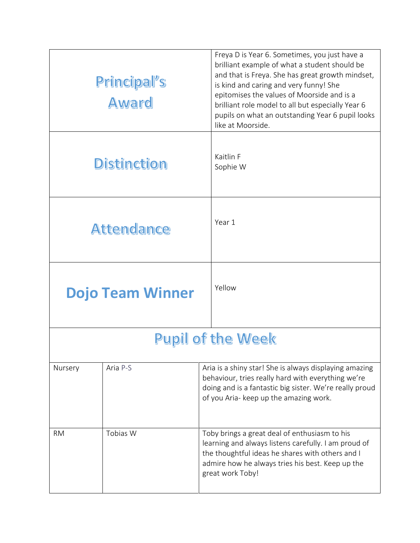|                          | Principal's<br>Award | Freya D is Year 6. Sometimes, you just have a<br>brilliant example of what a student should be<br>and that is Freya. She has great growth mindset,<br>is kind and caring and very funny! She<br>epitomises the values of Moorside and is a<br>brilliant role model to all but especially Year 6<br>pupils on what an outstanding Year 6 pupil looks<br>like at Moorside. |
|--------------------------|----------------------|--------------------------------------------------------------------------------------------------------------------------------------------------------------------------------------------------------------------------------------------------------------------------------------------------------------------------------------------------------------------------|
| <b>Distinction</b>       |                      | Kaitlin F<br>Sophie W                                                                                                                                                                                                                                                                                                                                                    |
| <b>Attendance</b>        |                      | Year 1                                                                                                                                                                                                                                                                                                                                                                   |
| <b>Dojo Team Winner</b>  |                      | Yellow                                                                                                                                                                                                                                                                                                                                                                   |
| <b>Pupil of the Week</b> |                      |                                                                                                                                                                                                                                                                                                                                                                          |
| Nursery                  | Aria P-S             | Aria is a shiny star! She is always displaying amazing<br>behaviour, tries really hard with everything we're<br>doing and is a fantastic big sister. We're really proud<br>of you Aria- keep up the amazing work.                                                                                                                                                        |
| <b>RM</b>                | Tobias W             | Toby brings a great deal of enthusiasm to his<br>learning and always listens carefully. I am proud of<br>the thoughtful ideas he shares with others and I<br>admire how he always tries his best. Keep up the<br>great work Toby!                                                                                                                                        |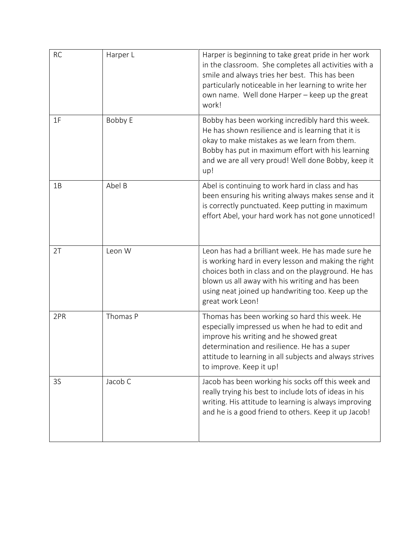| <b>RC</b> | Harper L | Harper is beginning to take great pride in her work<br>in the classroom. She completes all activities with a<br>smile and always tries her best. This has been<br>particularly noticeable in her learning to write her<br>own name. Well done Harper - keep up the great<br>work!             |
|-----------|----------|-----------------------------------------------------------------------------------------------------------------------------------------------------------------------------------------------------------------------------------------------------------------------------------------------|
| 1F        | Bobby E  | Bobby has been working incredibly hard this week.<br>He has shown resilience and is learning that it is<br>okay to make mistakes as we learn from them.<br>Bobby has put in maximum effort with his learning<br>and we are all very proud! Well done Bobby, keep it<br>up!                    |
| 1B        | Abel B   | Abel is continuing to work hard in class and has<br>been ensuring his writing always makes sense and it<br>is correctly punctuated. Keep putting in maximum<br>effort Abel, your hard work has not gone unnoticed!                                                                            |
| 2T        | Leon W   | Leon has had a brilliant week. He has made sure he<br>is working hard in every lesson and making the right<br>choices both in class and on the playground. He has<br>blown us all away with his writing and has been<br>using neat joined up handwriting too. Keep up the<br>great work Leon! |
| 2PR       | Thomas P | Thomas has been working so hard this week. He<br>especially impressed us when he had to edit and<br>improve his writing and he showed great<br>determination and resilience. He has a super<br>attitude to learning in all subjects and always strives<br>to improve. Keep it up!             |
| 3S        | Jacob C  | Jacob has been working his socks off this week and<br>really trying his best to include lots of ideas in his<br>writing. His attitude to learning is always improving<br>and he is a good friend to others. Keep it up Jacob!                                                                 |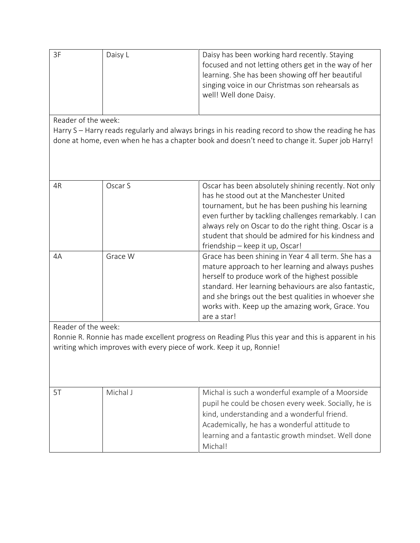| Daisy L | Daisy has been working hard recently. Staying        |
|---------|------------------------------------------------------|
|         | focused and not letting others get in the way of her |
|         | learning. She has been showing off her beautiful     |
|         | singing voice in our Christmas son rehearsals as     |
|         | well! Well done Daisy.                               |
|         |                                                      |

Reader of the week:

Harry S – Harry reads regularly and always brings in his reading record to show the reading he has done at home, even when he has a chapter book and doesn't need to change it. Super job Harry!

| 4R | Oscar S | Oscar has been absolutely shining recently. Not only<br>has he stood out at the Manchester United<br>tournament, but he has been pushing his learning<br>even further by tackling challenges remarkably. I can<br>always rely on Oscar to do the right thing. Oscar is a<br>student that should be admired for his kindness and<br>friendship - keep it up, Oscar! |
|----|---------|--------------------------------------------------------------------------------------------------------------------------------------------------------------------------------------------------------------------------------------------------------------------------------------------------------------------------------------------------------------------|
| 4A | Grace W | Grace has been shining in Year 4 all term. She has a<br>mature approach to her learning and always pushes<br>herself to produce work of the highest possible<br>standard. Her learning behaviours are also fantastic,<br>and she brings out the best qualities in whoever she<br>works with. Keep up the amazing work, Grace. You<br>are a star!                   |

Reader of the week:

Ronnie R. Ronnie has made excellent progress on Reading Plus this year and this is apparent in his writing which improves with every piece of work. Keep it up, Ronnie!

| Michal J | Michal is such a wonderful example of a Moorside     |
|----------|------------------------------------------------------|
|          | pupil he could be chosen every week. Socially, he is |
|          | kind, understanding and a wonderful friend.          |
|          | Academically, he has a wonderful attitude to         |
|          | learning and a fantastic growth mindset. Well done   |
|          | Michal!                                              |